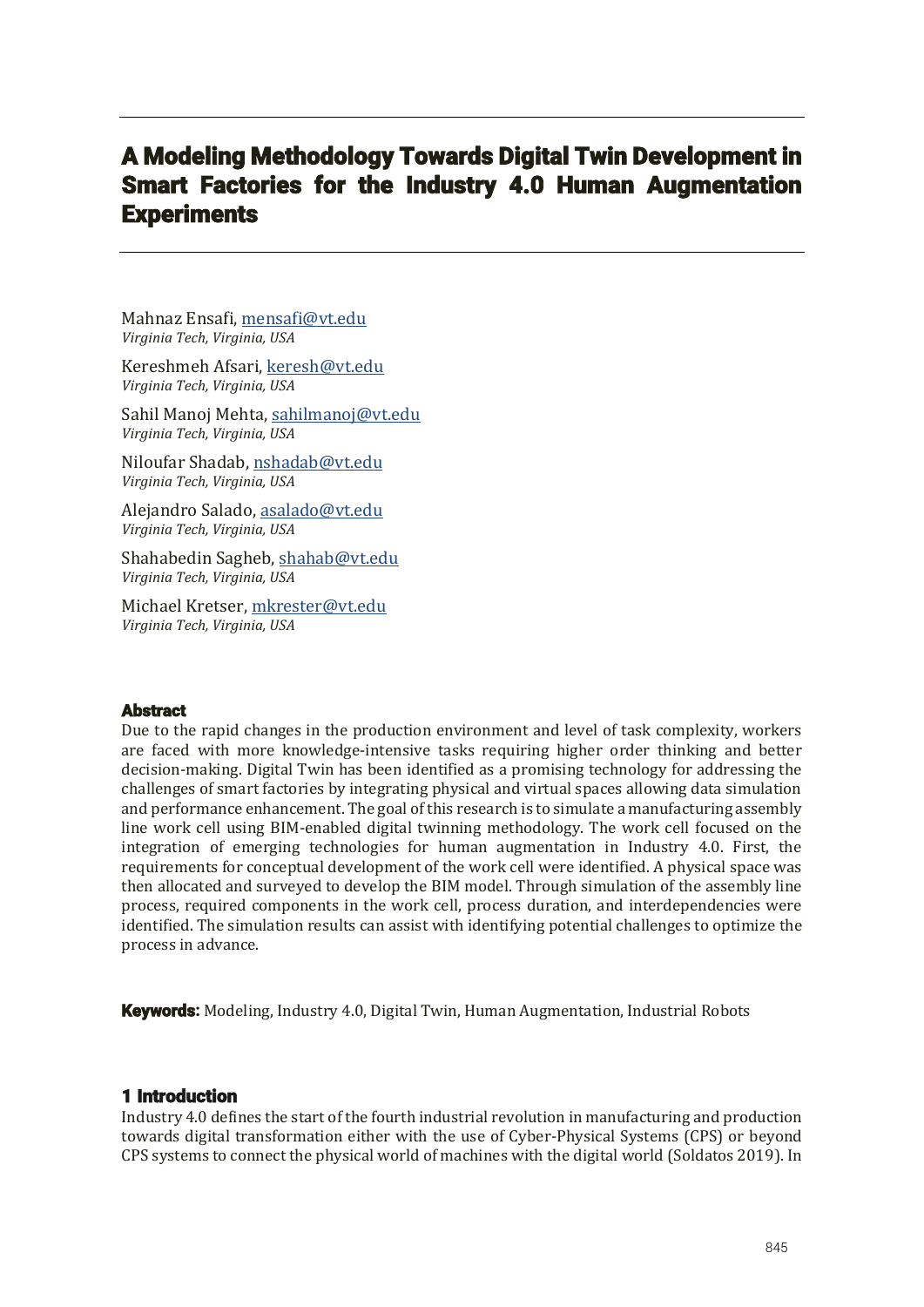# A Modeling Methodology Towards Digital Twin Development in Smart Factories for the Industry 4.0 Human Augmentation **Experiments**

Mahnaz Ensafi, mensafi@vt.edu *Virginia Tech, Virginia, USA*

Kereshmeh Afsari, keresh@vt.edu *Virginia Tech, Virginia, USA*

Sahil Manoj Mehta, sahilmanoj@vt.edu *Virginia Tech, Virginia, USA*

Niloufar Shadab, nshadab@vt.edu *Virginia Tech, Virginia, USA*

Alejandro Salado, asalado@vt.edu *Virginia Tech, Virginia, USA*

Shahabedin Sagheb, shahab@vt.edu *Virginia Tech, Virginia, USA*

Michael Kretser, mkrester@vt.edu *Virginia Tech, Virginia, USA*

## **Abstract**

Due to the rapid changes in the production environment and level of task complexity, workers are faced with more knowledge-intensive tasks requiring higher order thinking and better decision-making. Digital Twin has been identified as a promising technology for addressing the challenges of smart factories by integrating physical and virtual spaces allowing data simulation and performance enhancement. The goal of this research is to simulate a manufacturing assembly line work cell using BIM-enabled digital twinning methodology. The work cell focused on the integration of emerging technologies for human augmentation in Industry 4.0. First, the requirements for conceptual development of the work cell were identified. A physical space was then allocated and surveyed to develop the BIM model. Through simulation of the assembly line process, required components in the work cell, process duration, and interdependencies were identified. The simulation results can assist with identifying potential challenges to optimize the process in advance.

**Keywords:** Modeling, Industry 4.0, Digital Twin, Human Augmentation, Industrial Robots

## 1 Introduction

Industry 4.0 defines the start of the fourth industrial revolution in manufacturing and production towards digital transformation either with the use of Cyber-Physical Systems (CPS) or beyond CPS systems to connect the physical world of machines with the digital world (Soldatos 2019). In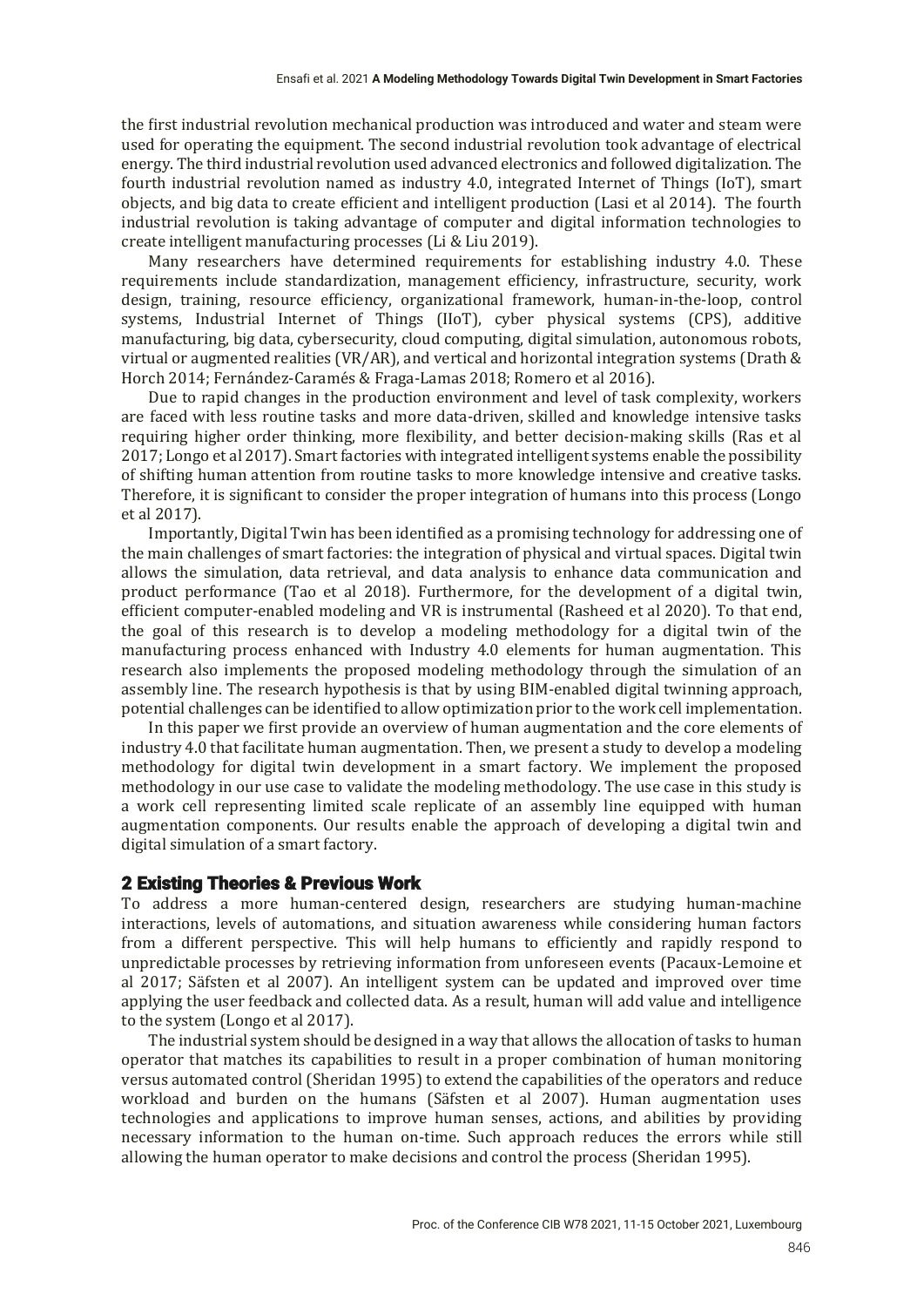the first industrial revolution mechanical production was introduced and water and steam were used for operating the equipment. The second industrial revolution took advantage of electrical energy. The third industrial revolution used advanced electronics and followed digitalization. The fourth industrial revolution named as industry 4.0, integrated Internet of Things (IoT), smart objects, and big data to create efficient and intelligent production (Lasi et al 2014). The fourth industrial revolution is taking advantage of computer and digital information technologies to create intelligent manufacturing processes (Li & Liu 2019).

Many researchers have determined requirements for establishing industry 4.0. These requirements include standardization, management efficiency, infrastructure, security, work design, training, resource efficiency, organizational framework, human-in-the-loop, control systems, Industrial Internet of Things (IIoT), cyber physical systems (CPS), additive manufacturing, big data, cybersecurity, cloud computing, digital simulation, autonomous robots, virtual or augmented realities (VR/AR), and vertical and horizontal integration systems (Drath  $&$ Horch 2014; Fernández-Caramés & Fraga-Lamas 2018; Romero et al 2016).

Due to rapid changes in the production environment and level of task complexity, workers are faced with less routine tasks and more data-driven, skilled and knowledge intensive tasks requiring higher order thinking, more flexibility, and better decision-making skills (Ras et al 2017; Longo et al 2017). Smart factories with integrated intelligent systems enable the possibility of shifting human attention from routine tasks to more knowledge intensive and creative tasks. Therefore, it is significant to consider the proper integration of humans into this process (Longo et al  $2017$ ).

Importantly, Digital Twin has been identified as a promising technology for addressing one of the main challenges of smart factories: the integration of physical and virtual spaces. Digital twin allows the simulation, data retrieval, and data analysis to enhance data communication and product performance (Tao et al 2018). Furthermore, for the development of a digital twin. efficient computer-enabled modeling and VR is instrumental (Rasheed et al 2020). To that end, the goal of this research is to develop a modeling methodology for a digital twin of the manufacturing process enhanced with Industry 4.0 elements for human augmentation. This research also implements the proposed modeling methodology through the simulation of an assembly line. The research hypothesis is that by using BIM-enabled digital twinning approach, potential challenges can be identified to allow optimization prior to the work cell implementation.

In this paper we first provide an overview of human augmentation and the core elements of industry 4.0 that facilitate human augmentation. Then, we present a study to develop a modeling methodology for digital twin development in a smart factory. We implement the proposed methodology in our use case to validate the modeling methodology. The use case in this study is a work cell representing limited scale replicate of an assembly line equipped with human augmentation components. Our results enable the approach of developing a digital twin and digital simulation of a smart factory.

## 2 Existing Theories & Previous Work

To address a more human-centered design, researchers are studying human-machine interactions, levels of automations, and situation awareness while considering human factors from a different perspective. This will help humans to efficiently and rapidly respond to unpredictable processes by retrieving information from unforeseen events (Pacaux-Lemoine et al 2017; Säfsten et al 2007). An intelligent system can be updated and improved over time applying the user feedback and collected data. As a result, human will add value and intelligence to the system (Longo et al 2017).

The industrial system should be designed in a way that allows the allocation of tasks to human operator that matches its capabilities to result in a proper combination of human monitoring versus automated control (Sheridan 1995) to extend the capabilities of the operators and reduce workload and burden on the humans (Säfsten et al 2007). Human augmentation uses technologies and applications to improve human senses, actions, and abilities by providing necessary information to the human on-time. Such approach reduces the errors while still allowing the human operator to make decisions and control the process (Sheridan 1995).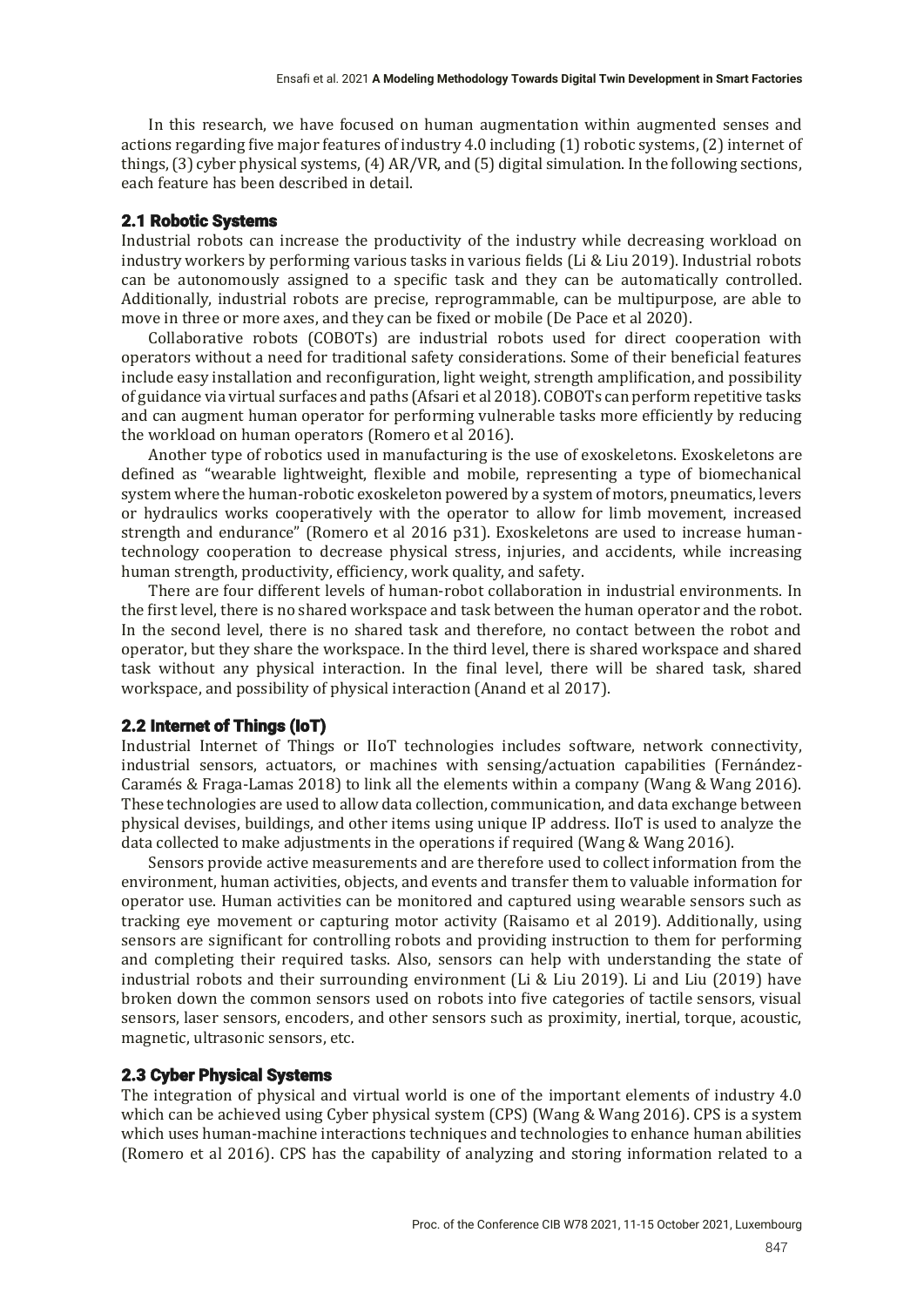In this research, we have focused on human augmentation within augmented senses and actions regarding five major features of industry 4.0 including (1) robotic systems, (2) internet of things, (3) cyber physical systems, (4) AR/VR, and (5) digital simulation. In the following sections, each feature has been described in detail.

#### 2.1 Robotic Systems

Industrial robots can increase the productivity of the industry while decreasing workload on industry workers by performing various tasks in various fields (Li & Liu 2019). Industrial robots can be autonomously assigned to a specific task and they can be automatically controlled. Additionally, industrial robots are precise, reprogrammable, can be multipurpose, are able to move in three or more axes, and they can be fixed or mobile (De Pace et al 2020).

Collaborative robots (COBOTs) are industrial robots used for direct cooperation with operators without a need for traditional safety considerations. Some of their beneficial features include easy installation and reconfiguration, light weight, strength amplification, and possibility of guidance via virtual surfaces and paths (Afsari et al 2018). COBOTs can perform repetitive tasks and can augment human operator for performing vulnerable tasks more efficiently by reducing the workload on human operators (Romero et al 2016).

Another type of robotics used in manufacturing is the use of exoskeletons. Exoskeletons are defined as "wearable lightweight, flexible and mobile, representing a type of biomechanical system where the human-robotic exoskeleton powered by a system of motors, pneumatics, levers or hydraulics works cooperatively with the operator to allow for limb movement, increased strength and endurance" (Romero et al 2016 p31). Exoskeletons are used to increase humantechnology cooperation to decrease physical stress, injuries, and accidents, while increasing human strength, productivity, efficiency, work quality, and safety.

There are four different levels of human-robot collaboration in industrial environments. In the first level, there is no shared workspace and task between the human operator and the robot. In the second level, there is no shared task and therefore, no contact between the robot and operator, but they share the workspace. In the third level, there is shared workspace and shared task without any physical interaction. In the final level, there will be shared task, shared workspace, and possibility of physical interaction (Anand et al 2017).

#### 2.2 Internet of Things (IoT)

Industrial Internet of Things or IIoT technologies includes software, network connectivity, industrial sensors, actuators, or machines with sensing/actuation capabilities (Fernández-Caramés & Fraga-Lamas 2018) to link all the elements within a company (Wang & Wang 2016). These technologies are used to allow data collection, communication, and data exchange between physical devises, buildings, and other items using unique IP address. IIoT is used to analyze the data collected to make adjustments in the operations if required (Wang & Wang 2016).

Sensors provide active measurements and are therefore used to collect information from the environment, human activities, objects, and events and transfer them to valuable information for operator use. Human activities can be monitored and captured using wearable sensors such as tracking eye movement or capturing motor activity (Raisamo et al 2019). Additionally, using sensors are significant for controlling robots and providing instruction to them for performing and completing their required tasks. Also, sensors can help with understanding the state of industrial robots and their surrounding environment (Li & Liu 2019). Li and Liu (2019) have broken down the common sensors used on robots into five categories of tactile sensors, visual sensors, laser sensors, encoders, and other sensors such as proximity, inertial, torque, acoustic, magnetic, ultrasonic sensors, etc.

#### 2.3 Cyber Physical Systems

The integration of physical and virtual world is one of the important elements of industry 4.0 which can be achieved using Cyber physical system  $(CPS)$  (Wang & Wang 2016). CPS is a system which uses human-machine interactions techniques and technologies to enhance human abilities (Romero et al 2016). CPS has the capability of analyzing and storing information related to a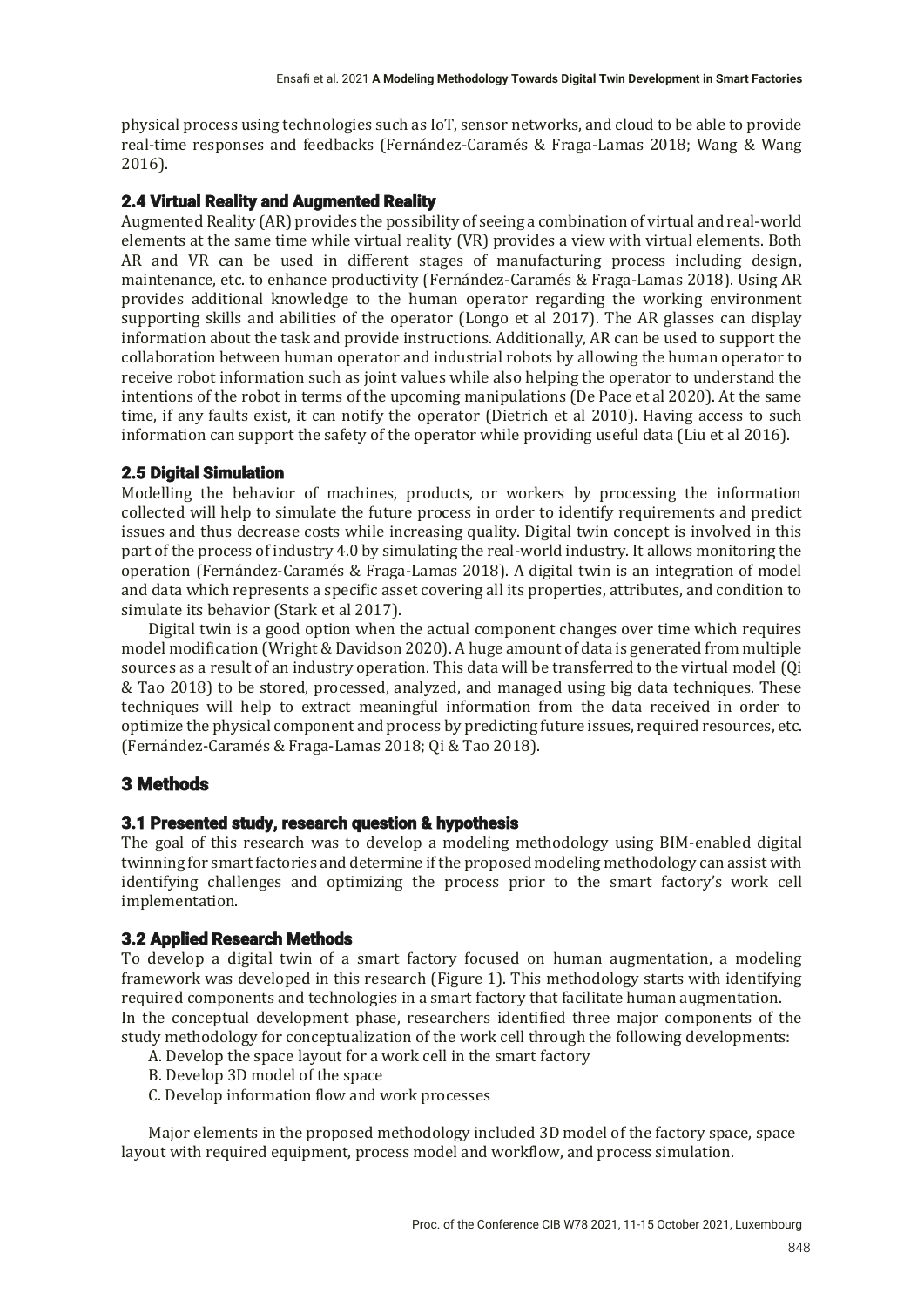physical process using technologies such as IoT, sensor networks, and cloud to be able to provide real-time responses and feedbacks (Fernández-Caramés & Fraga-Lamas 2018; Wang & Wang  $2016$ .

# 2.4 Virtual Reality and Augmented Reality

Augmented Reality (AR) provides the possibility of seeing a combination of virtual and real-world elements at the same time while virtual reality (VR) provides a view with virtual elements. Both AR and VR can be used in different stages of manufacturing process including design, maintenance, etc. to enhance productivity (Fernández-Caramés & Fraga-Lamas 2018). Using AR provides additional knowledge to the human operator regarding the working environment supporting skills and abilities of the operator (Longo et al 2017). The AR glasses can display information about the task and provide instructions. Additionally, AR can be used to support the collaboration between human operator and industrial robots by allowing the human operator to receive robot information such as joint values while also helping the operator to understand the intentions of the robot in terms of the upcoming manipulations (De Pace et al 2020). At the same time, if any faults exist, it can notify the operator (Dietrich et al 2010). Having access to such information can support the safety of the operator while providing useful data  $(Liu$  et al 2016).

## 2.5 Digital Simulation

Modelling the behavior of machines, products, or workers by processing the information collected will help to simulate the future process in order to identify requirements and predict issues and thus decrease costs while increasing quality. Digital twin concept is involved in this part of the process of industry 4.0 by simulating the real-world industry. It allows monitoring the operation (Fernández-Caramés & Fraga-Lamas 2018). A digital twin is an integration of model and data which represents a specific asset covering all its properties, attributes, and condition to simulate its behavior (Stark et al 2017).

Digital twin is a good option when the actual component changes over time which requires model modification (Wright & Davidson 2020). A huge amount of data is generated from multiple sources as a result of an industry operation. This data will be transferred to the virtual model (Qi & Tao 2018) to be stored, processed, analyzed, and managed using big data techniques. These techniques will help to extract meaningful information from the data received in order to optimize the physical component and process by predicting future issues, required resources, etc. (Fernández-Caramés & Fraga-Lamas 2018; Qi & Tao 2018).

# 3 Methods

## 3.1 Presented study, research question & hypothesis

The goal of this research was to develop a modeling methodology using BIM-enabled digital twinning for smart factories and determine if the proposed modeling methodology can assist with identifying challenges and optimizing the process prior to the smart factory's work cell implementation.

## 3.2 Applied Research Methods

To develop a digital twin of a smart factory focused on human augmentation, a modeling framework was developed in this research (Figure 1). This methodology starts with identifying required components and technologies in a smart factory that facilitate human augmentation. In the conceptual development phase, researchers identified three major components of the study methodology for conceptualization of the work cell through the following developments:

- A. Develop the space layout for a work cell in the smart factory
- B. Develop 3D model of the space
- C. Develop information flow and work processes

Major elements in the proposed methodology included 3D model of the factory space, space layout with required equipment, process model and workflow, and process simulation.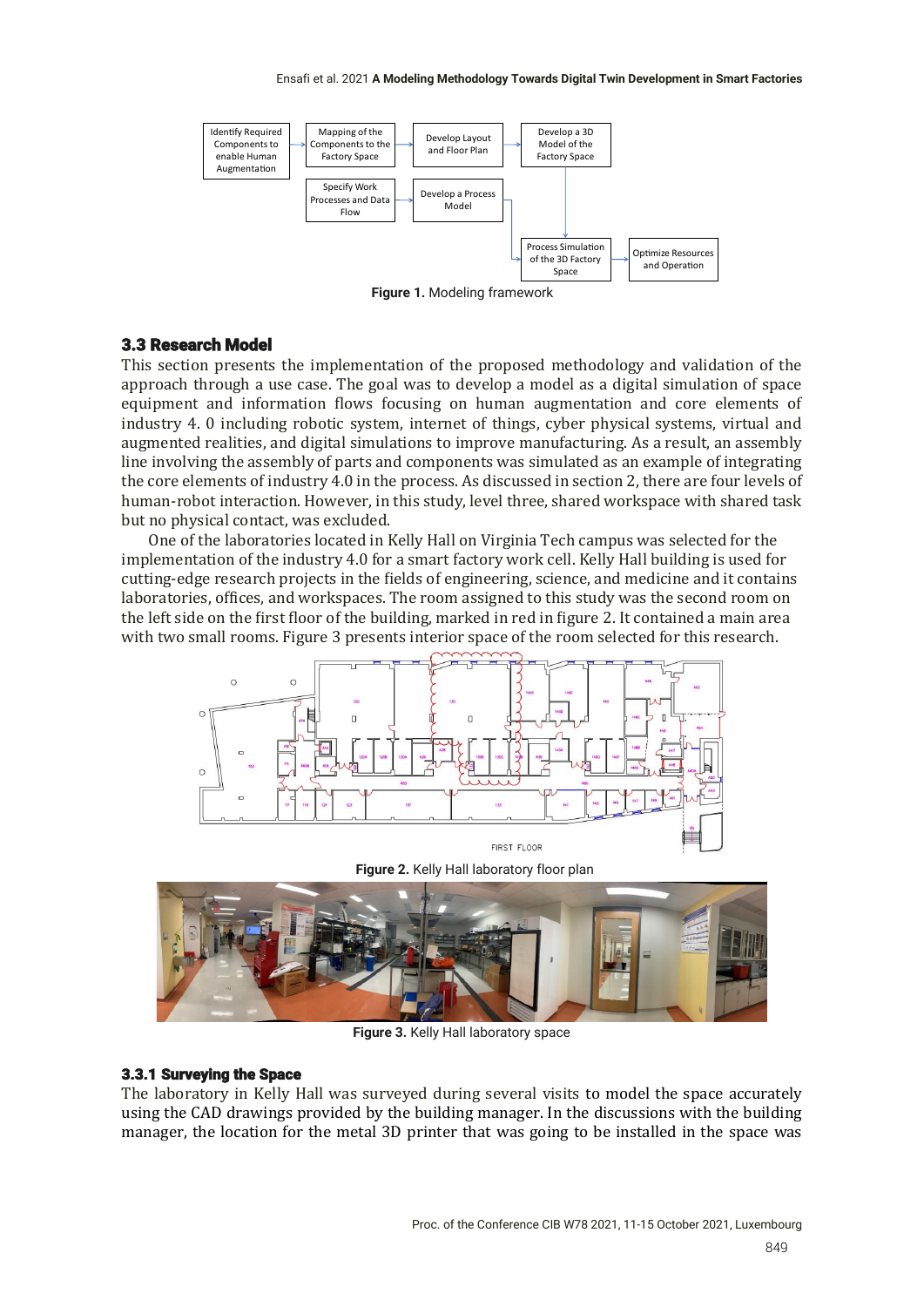

**Figure 1.** Modeling framework

#### 3.3 Research Model

This section presents the implementation of the proposed methodology and validation of the approach through a use case. The goal was to develop a model as a digital simulation of space equipment and information flows focusing on human augmentation and core elements of industry 4. 0 including robotic system, internet of things, cyber physical systems, virtual and augmented realities, and digital simulations to improve manufacturing. As a result, an assembly line involving the assembly of parts and components was simulated as an example of integrating the core elements of industry 4.0 in the process. As discussed in section 2, there are four levels of human-robot interaction. However, in this study, level three, shared workspace with shared task but no physical contact, was excluded.

One of the laboratories located in Kelly Hall on Virginia Tech campus was selected for the implementation of the industry 4.0 for a smart factory work cell. Kelly Hall building is used for cutting-edge research projects in the fields of engineering, science, and medicine and it contains laboratories, offices, and workspaces. The room assigned to this study was the second room on the left side on the first floor of the building, marked in red in figure 2. It contained a main area with two small rooms. Figure 3 presents interior space of the room selected for this research.



**Figure 2.** Kelly Hall laboratory floor plan



**Figure 3.** Kelly Hall laboratory space

#### 3.3.1 Surveying the Space

The laboratory in Kelly Hall was surveyed during several visits to model the space accurately using the CAD drawings provided by the building manager. In the discussions with the building manager, the location for the metal 3D printer that was going to be installed in the space was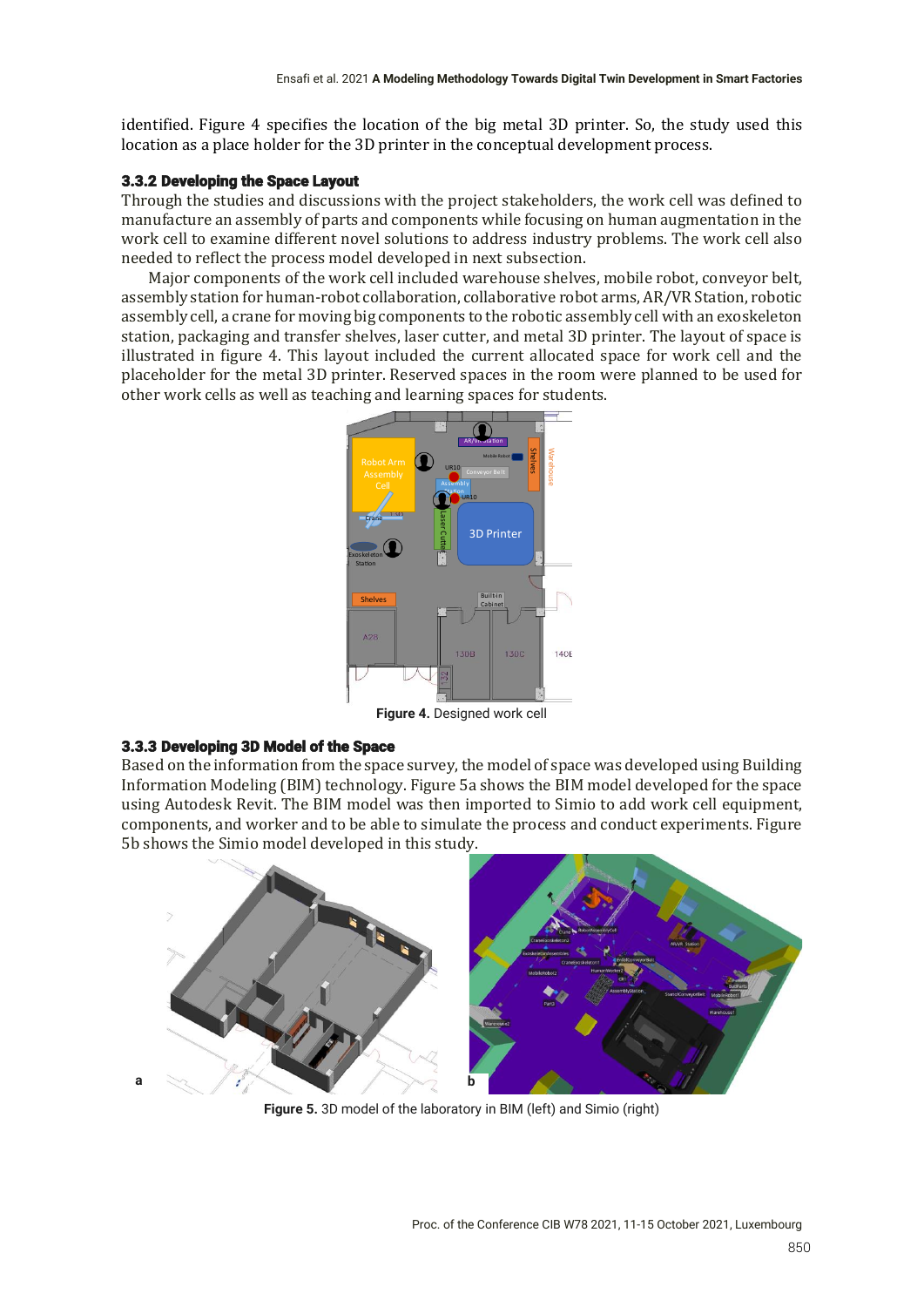identified. Figure 4 specifies the location of the big metal 3D printer. So, the study used this location as a place holder for the 3D printer in the conceptual development process.

#### 3.3.2 Developing the Space Layout

Through the studies and discussions with the project stakeholders, the work cell was defined to manufacture an assembly of parts and components while focusing on human augmentation in the work cell to examine different novel solutions to address industry problems. The work cell also needed to reflect the process model developed in next subsection.

Major components of the work cell included warehouse shelves, mobile robot, conveyor belt, assembly station for human-robot collaboration, collaborative robot arms, AR/VR Station, robotic assembly cell, a crane for moving big components to the robotic assembly cell with an exoskeleton station, packaging and transfer shelves, laser cutter, and metal 3D printer. The layout of space is illustrated in figure 4. This layout included the current allocated space for work cell and the placeholder for the metal 3D printer. Reserved spaces in the room were planned to be used for other work cells as well as teaching and learning spaces for students.



**Figure 4.** Designed work cell

## 3.3.3 Developing 3D Model of the Space

Based on the information from the space survey, the model of space was developed using Building Information Modeling (BIM) technology. Figure 5a shows the BIM model developed for the space using Autodesk Revit. The BIM model was then imported to Simio to add work cell equipment, components, and worker and to be able to simulate the process and conduct experiments. Figure 5b shows the Simio model developed in this study.



**Figure 5.** 3D model of the laboratory in BIM (left) and Simio (right)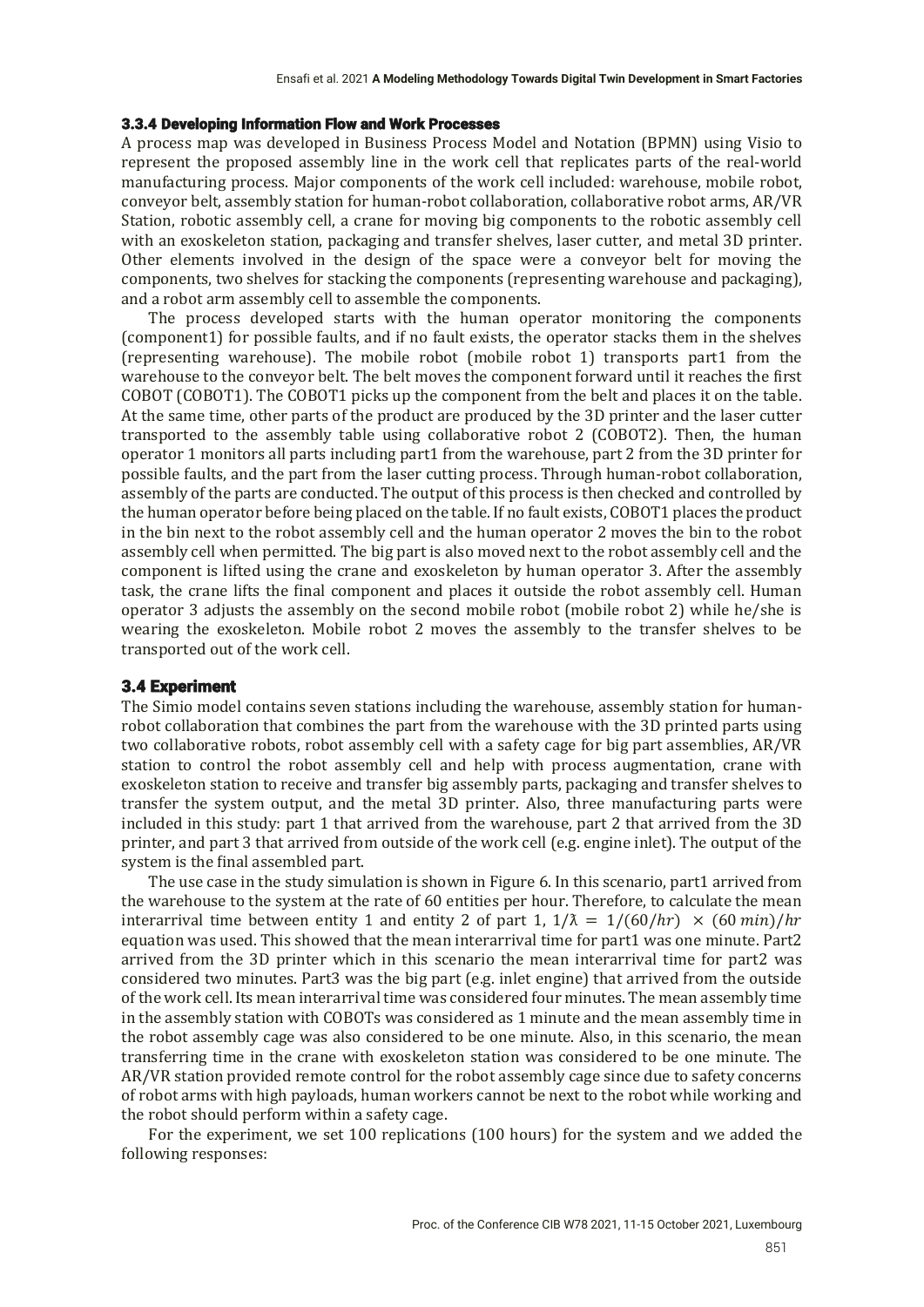#### 3.3.4 Developing Information Flow and Work Processes

A process map was developed in Business Process Model and Notation (BPMN) using Visio to represent the proposed assembly line in the work cell that replicates parts of the real-world manufacturing process. Major components of the work cell included: warehouse, mobile robot, conveyor belt, assembly station for human-robot collaboration, collaborative robot arms, AR/VR Station, robotic assembly cell, a crane for moving big components to the robotic assembly cell with an exoskeleton station, packaging and transfer shelves, laser cutter, and metal 3D printer. Other elements involved in the design of the space were a conveyor belt for moving the components, two shelves for stacking the components (representing warehouse and packaging), and a robot arm assembly cell to assemble the components.

The process developed starts with the human operator monitoring the components  $[component]$  for possible faults, and if no fault exists, the operator stacks them in the shelves (representing warehouse). The mobile robot (mobile robot 1) transports part1 from the warehouse to the conveyor belt. The belt moves the component forward until it reaches the first COBOT (COBOT1). The COBOT1 picks up the component from the belt and places it on the table. At the same time, other parts of the product are produced by the 3D printer and the laser cutter transported to the assembly table using collaborative robot 2 (COBOT2). Then, the human operator 1 monitors all parts including part1 from the warehouse, part 2 from the 3D printer for possible faults, and the part from the laser cutting process. Through human-robot collaboration, assembly of the parts are conducted. The output of this process is then checked and controlled by the human operator before being placed on the table. If no fault exists, COBOT1 places the product in the bin next to the robot assembly cell and the human operator 2 moves the bin to the robot assembly cell when permitted. The big part is also moved next to the robot assembly cell and the component is lifted using the crane and exoskeleton by human operator 3. After the assembly task, the crane lifts the final component and places it outside the robot assembly cell. Human operator 3 adjusts the assembly on the second mobile robot (mobile robot  $2$ ) while he/she is wearing the exoskeleton. Mobile robot 2 moves the assembly to the transfer shelves to be transported out of the work cell.

#### 3.4 Experiment

The Simio model contains seven stations including the warehouse, assembly station for humanrobot collaboration that combines the part from the warehouse with the 3D printed parts using two collaborative robots, robot assembly cell with a safety cage for big part assemblies, AR/VR station to control the robot assembly cell and help with process augmentation, crane with exoskeleton station to receive and transfer big assembly parts, packaging and transfer shelves to transfer the system output, and the metal 3D printer. Also, three manufacturing parts were included in this study: part 1 that arrived from the warehouse, part 2 that arrived from the 3D printer, and part 3 that arrived from outside of the work cell (e.g. engine inlet). The output of the system is the final assembled part.

The use case in the study simulation is shown in Figure 6. In this scenario, part1 arrived from the warehouse to the system at the rate of 60 entities per hour. Therefore, to calculate the mean interarrival time between entity 1 and entity 2 of part 1,  $1/\lambda = 1/(60/hr) \times (60 min)/hr$ equation was used. This showed that the mean interarrival time for part1 was one minute. Part2 arrived from the 3D printer which in this scenario the mean interarrival time for part2 was considered two minutes. Part3 was the big part (e.g. inlet engine) that arrived from the outside of the work cell. Its mean interarrival time was considered four minutes. The mean assembly time in the assembly station with COBOTs was considered as 1 minute and the mean assembly time in the robot assembly cage was also considered to be one minute. Also, in this scenario, the mean transferring time in the crane with exoskeleton station was considered to be one minute. The AR/VR station provided remote control for the robot assembly cage since due to safety concerns of robot arms with high payloads, human workers cannot be next to the robot while working and the robot should perform within a safety cage.

For the experiment, we set 100 replications (100 hours) for the system and we added the following responses: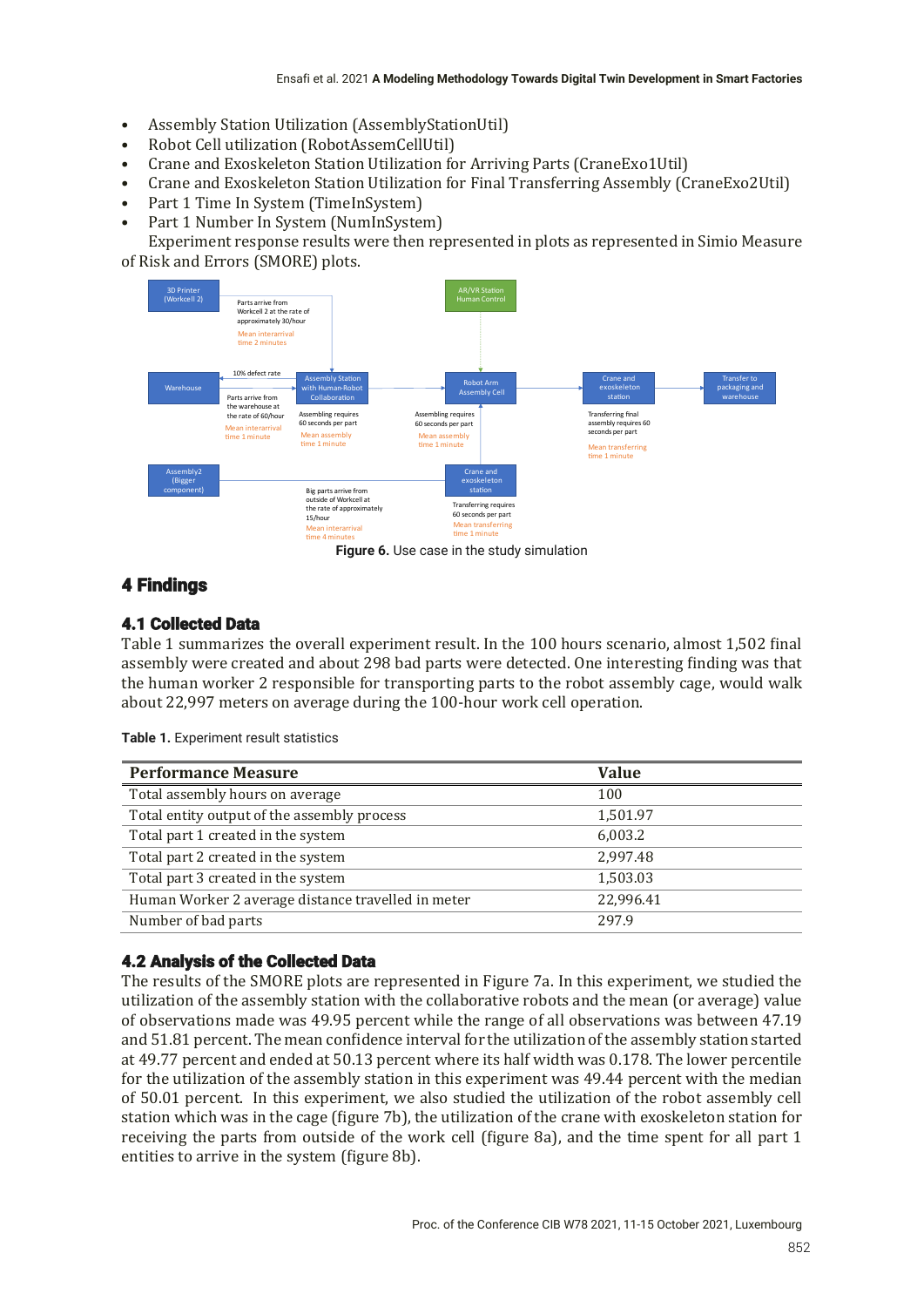- Assembly Station Utilization (AssemblyStationUtil)
- Robot Cell utilization (RobotAssemCellUtil)
- Crane and Exoskeleton Station Utilization for Arriving Parts (CraneExo1Util)
- Crane and Exoskeleton Station Utilization for Final Transferring Assembly (CraneExo2Util)
- Part 1 Time In System (TimeInSystem)
- Part 1 Number In System (NumInSystem)

Experiment response results were then represented in plots as represented in Simio Measure of Risk and Errors (SMORE) plots.



**Figure 6.** Use case in the study simulation

# 4 Findings

### 4.1 Collected Data

Table 1 summarizes the overall experiment result. In the 100 hours scenario, almost 1,502 final assembly were created and about 298 bad parts were detected. One interesting finding was that the human worker 2 responsible for transporting parts to the robot assembly cage, would walk about 22,997 meters on average during the 100-hour work cell operation.

| <b>Performance Measure</b>                         | <b>Value</b> |
|----------------------------------------------------|--------------|
| Total assembly hours on average                    | 100          |
| Total entity output of the assembly process        | 1,501.97     |
| Total part 1 created in the system                 | 6,003.2      |
| Total part 2 created in the system                 | 2.997.48     |
| Total part 3 created in the system                 | 1,503.03     |
| Human Worker 2 average distance travelled in meter | 22,996.41    |
| Number of bad parts                                | 297.9        |
|                                                    |              |

**Table 1.** Experiment result statistics

## 4.2 Analysis of the Collected Data

The results of the SMORE plots are represented in Figure 7a. In this experiment, we studied the utilization of the assembly station with the collaborative robots and the mean (or average) value of observations made was 49.95 percent while the range of all observations was between 47.19 and 51.81 percent. The mean confidence interval for the utilization of the assembly station started at 49.77 percent and ended at 50.13 percent where its half width was 0.178. The lower percentile for the utilization of the assembly station in this experiment was 49.44 percent with the median of 50.01 percent. In this experiment, we also studied the utilization of the robot assembly cell station which was in the cage (figure 7b), the utilization of the crane with exoskeleton station for receiving the parts from outside of the work cell (figure 8a), and the time spent for all part 1 entities to arrive in the system (figure 8b).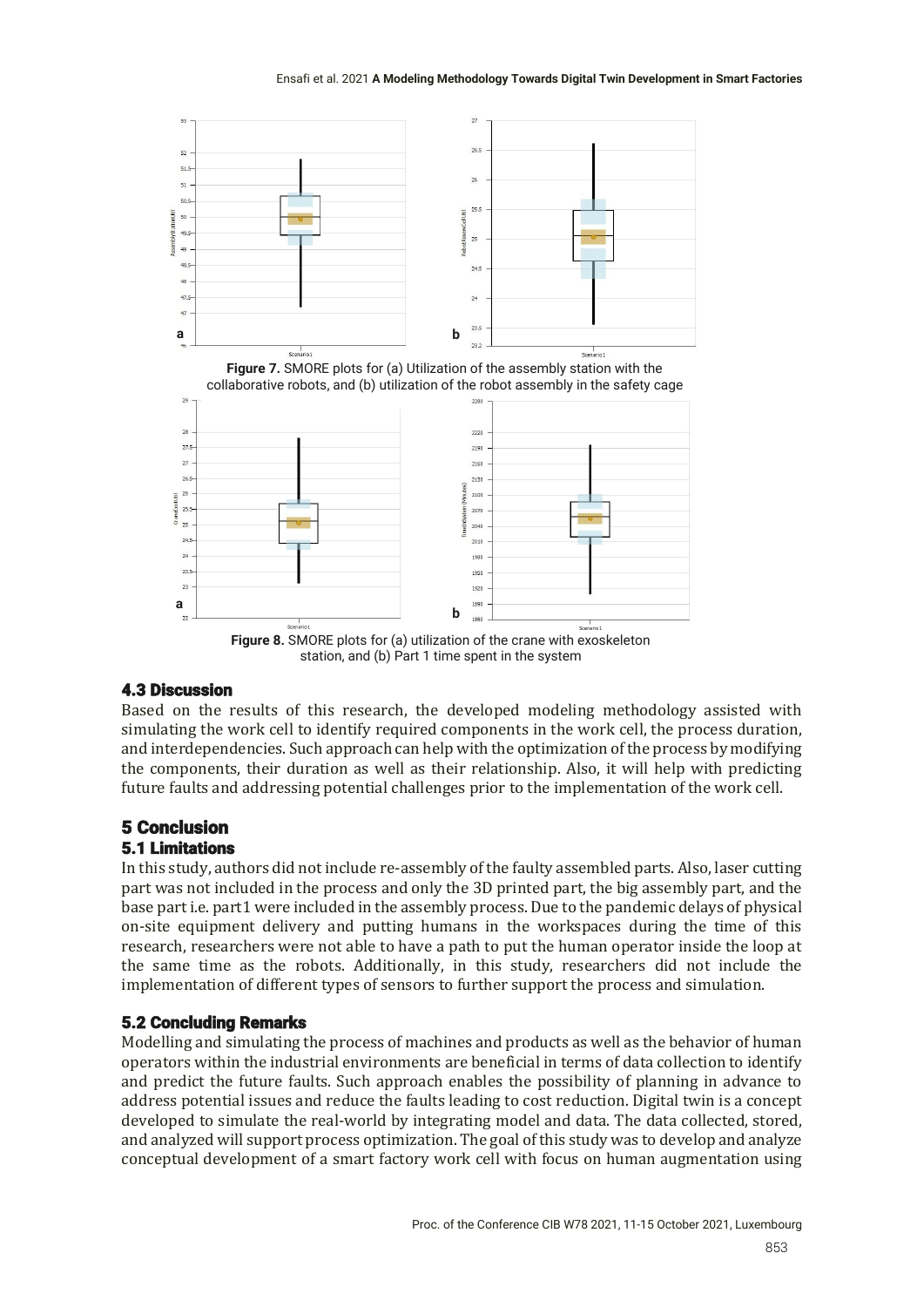

station, and (b) Part 1 time spent in the system

# 4.3 Discussion

Based on the results of this research, the developed modeling methodology assisted with simulating the work cell to identify required components in the work cell, the process duration, and interdependencies. Such approach can help with the optimization of the process by modifying the components, their duration as well as their relationship. Also, it will help with predicting future faults and addressing potential challenges prior to the implementation of the work cell.

# 5 Conclusion

# 5.1 Limitations

In this study, authors did not include re-assembly of the faulty assembled parts. Also, laser cutting part was not included in the process and only the 3D printed part, the big assembly part, and the base part i.e. part1 were included in the assembly process. Due to the pandemic delays of physical on-site equipment delivery and putting humans in the workspaces during the time of this research, researchers were not able to have a path to put the human operator inside the loop at the same time as the robots. Additionally, in this study, researchers did not include the implementation of different types of sensors to further support the process and simulation.

# 5.2 Concluding Remarks

Modelling and simulating the process of machines and products as well as the behavior of human operators within the industrial environments are beneficial in terms of data collection to identify and predict the future faults. Such approach enables the possibility of planning in advance to address potential issues and reduce the faults leading to cost reduction. Digital twin is a concept developed to simulate the real-world by integrating model and data. The data collected, stored, and analyzed will support process optimization. The goal of this study was to develop and analyze conceptual development of a smart factory work cell with focus on human augmentation using